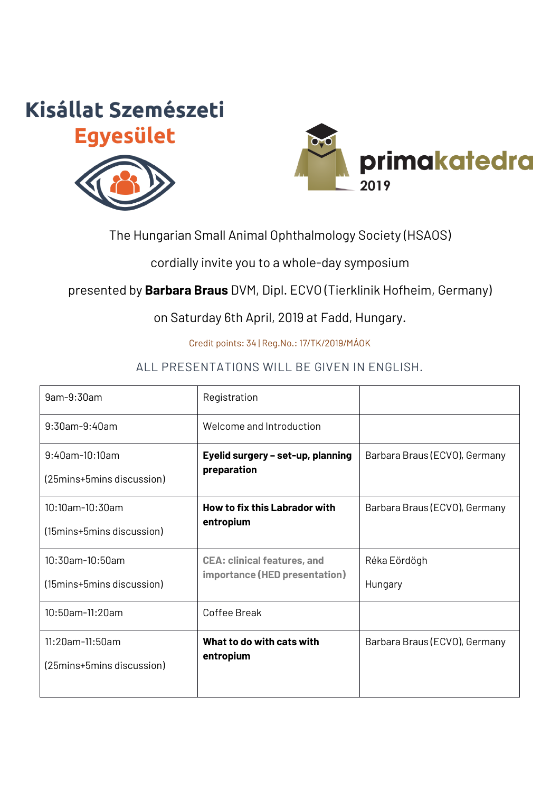# **Kisállat Szemészeti Egyesület**





## The Hungarian Small Animal Ophthalmology Society (HSAOS)

cordially invite you to a whole-day symposium

## presented by **Barbara Braus** DVM, Dipl. ECVO (Tierklinik Hofheim, Germany)

on Saturday 6th April, 2019 at Fadd, Hungary.

Credit points: 34 | Reg.No.: 17/TK/2019/MÁOK

## ALL PRESENTATIONS WILL BE GIVEN IN ENGLISH.

| 9am-9:30am                    | Registration                                                        |                               |
|-------------------------------|---------------------------------------------------------------------|-------------------------------|
| $9:30$ am- $9:40$ am          | Welcome and Introduction                                            |                               |
| 9:40am-10:10am                | Eyelid surgery - set-up, planning<br>preparation                    | Barbara Braus (ECVO), Germany |
| (25 mins + 5 mins discussion) |                                                                     |                               |
| 10:10am-10:30am               | <b>How to fix this Labrador with</b>                                | Barbara Braus (ECVO), Germany |
| (15 mins + 5 mins discussion) | entropium                                                           |                               |
| 10:30am-10:50am               | <b>CEA: clinical features, and</b><br>importance (HED presentation) | Réka Eördögh                  |
| (15 mins + 5 mins discussion) |                                                                     | Hungary                       |
| 10:50am-11:20am               | Coffee Break                                                        |                               |
| 11:20am-11:50am               | What to do with cats with<br>entropium                              | Barbara Braus (ECVO), Germany |
| (25 mins + 5 mins discussion) |                                                                     |                               |
|                               |                                                                     |                               |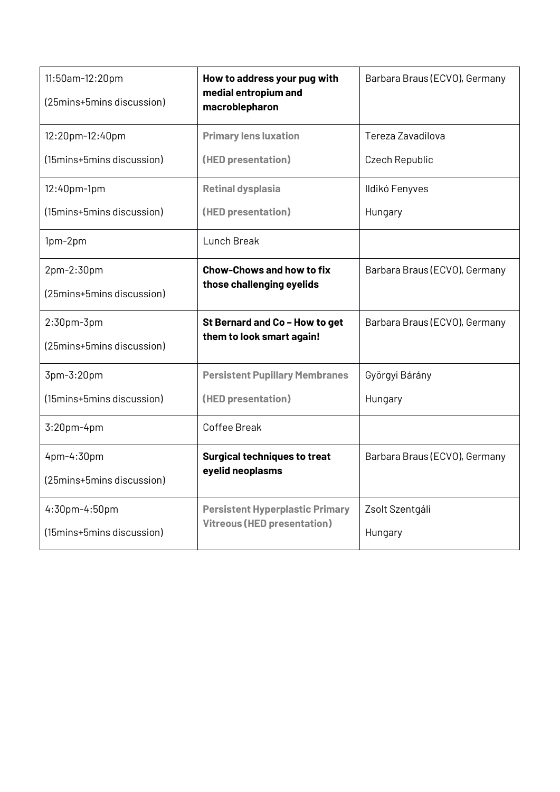| 11:50am-12:20pm           | How to address your pug with<br>medial entropium and<br>macroblepharon       | Barbara Braus (ECVO), Germany |
|---------------------------|------------------------------------------------------------------------------|-------------------------------|
| (25mins+5mins discussion) |                                                                              |                               |
| 12:20pm-12:40pm           | <b>Primary lens luxation</b>                                                 | Tereza Zavadilova             |
| (15mins+5mins discussion) | (HED presentation)                                                           | Czech Republic                |
| 12:40pm-1pm               | <b>Retinal dysplasia</b>                                                     | Ildikó Fenyves                |
| (15mins+5mins discussion) | (HED presentation)                                                           | Hungary                       |
| 1pm-2pm                   | Lunch Break                                                                  |                               |
| 2pm-2:30pm                | <b>Chow-Chows and how to fix</b>                                             | Barbara Braus (ECVO), Germany |
| (25mins+5mins discussion) | those challenging eyelids                                                    |                               |
| $2:30$ pm- $3$ pm         | St Bernard and Co - How to get                                               | Barbara Braus (ECVO), Germany |
| (25mins+5mins discussion) | them to look smart again!                                                    |                               |
| 3pm-3:20pm                | <b>Persistent Pupillary Membranes</b>                                        | Györgyi Bárány                |
| (15mins+5mins discussion) | (HED presentation)                                                           | Hungary                       |
| 3:20pm-4pm                | Coffee Break                                                                 |                               |
| 4pm-4:30pm                | <b>Surgical techniques to treat</b>                                          | Barbara Braus (ECVO), Germany |
| (25mins+5mins discussion) | eyelid neoplasms                                                             |                               |
| 4:30pm-4:50pm             | <b>Persistent Hyperplastic Primary</b><br><b>Vitreous (HED presentation)</b> | Zsolt Szentgáli               |
| (15mins+5mins discussion) |                                                                              | Hungary                       |